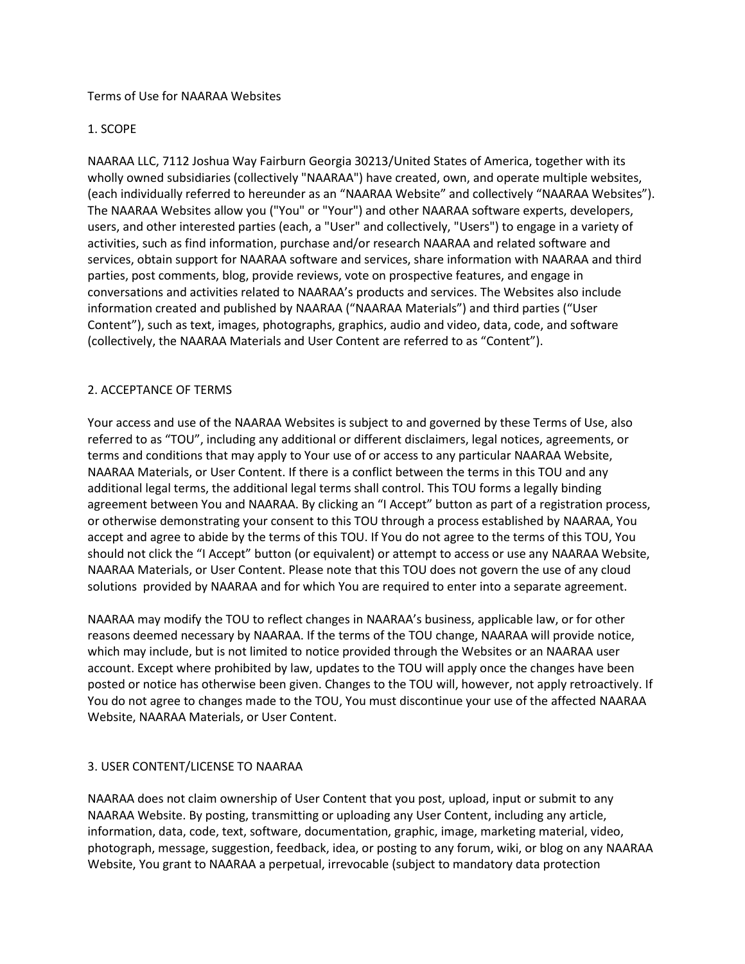#### Terms of Use for NAARAA Websites

#### 1. SCOPE

NAARAA LLC, 7112 Joshua Way Fairburn Georgia 30213/United States of America, together with its wholly owned subsidiaries (collectively "NAARAA") have created, own, and operate multiple websites, (each individually referred to hereunder as an "NAARAA Website" and collectively "NAARAA Websites"). The NAARAA Websites allow you ("You" or "Your") and other NAARAA software experts, developers, users, and other interested parties (each, a "User" and collectively, "Users") to engage in a variety of activities, such as find information, purchase and/or research NAARAA and related software and services, obtain support for NAARAA software and services, share information with NAARAA and third parties, post comments, blog, provide reviews, vote on prospective features, and engage in conversations and activities related to NAARAA's products and services. The Websites also include information created and published by NAARAA ("NAARAA Materials") and third parties ("User Content"), such as text, images, photographs, graphics, audio and video, data, code, and software (collectively, the NAARAA Materials and User Content are referred to as "Content").

#### 2. ACCEPTANCE OF TERMS

Your access and use of the NAARAA Websites is subject to and governed by these Terms of Use, also referred to as "TOU", including any additional or different disclaimers, legal notices, agreements, or terms and conditions that may apply to Your use of or access to any particular NAARAA Website, NAARAA Materials, or User Content. If there is a conflict between the terms in this TOU and any additional legal terms, the additional legal terms shall control. This TOU forms a legally binding agreement between You and NAARAA. By clicking an "I Accept" button as part of a registration process, or otherwise demonstrating your consent to this TOU through a process established by NAARAA, You accept and agree to abide by the terms of this TOU. If You do not agree to the terms of this TOU, You should not click the "I Accept" button (or equivalent) or attempt to access or use any NAARAA Website, NAARAA Materials, or User Content. Please note that this TOU does not govern the use of any cloud solutions provided by NAARAA and for which You are required to enter into a separate agreement.

NAARAA may modify the TOU to reflect changes in NAARAA's business, applicable law, or for other reasons deemed necessary by NAARAA. If the terms of the TOU change, NAARAA will provide notice, which may include, but is not limited to notice provided through the Websites or an NAARAA user account. Except where prohibited by law, updates to the TOU will apply once the changes have been posted or notice has otherwise been given. Changes to the TOU will, however, not apply retroactively. If You do not agree to changes made to the TOU, You must discontinue your use of the affected NAARAA Website, NAARAA Materials, or User Content.

#### 3. USER CONTENT/LICENSE TO NAARAA

NAARAA does not claim ownership of User Content that you post, upload, input or submit to any NAARAA Website. By posting, transmitting or uploading any User Content, including any article, information, data, code, text, software, documentation, graphic, image, marketing material, video, photograph, message, suggestion, feedback, idea, or posting to any forum, wiki, or blog on any NAARAA Website, You grant to NAARAA a perpetual, irrevocable (subject to mandatory data protection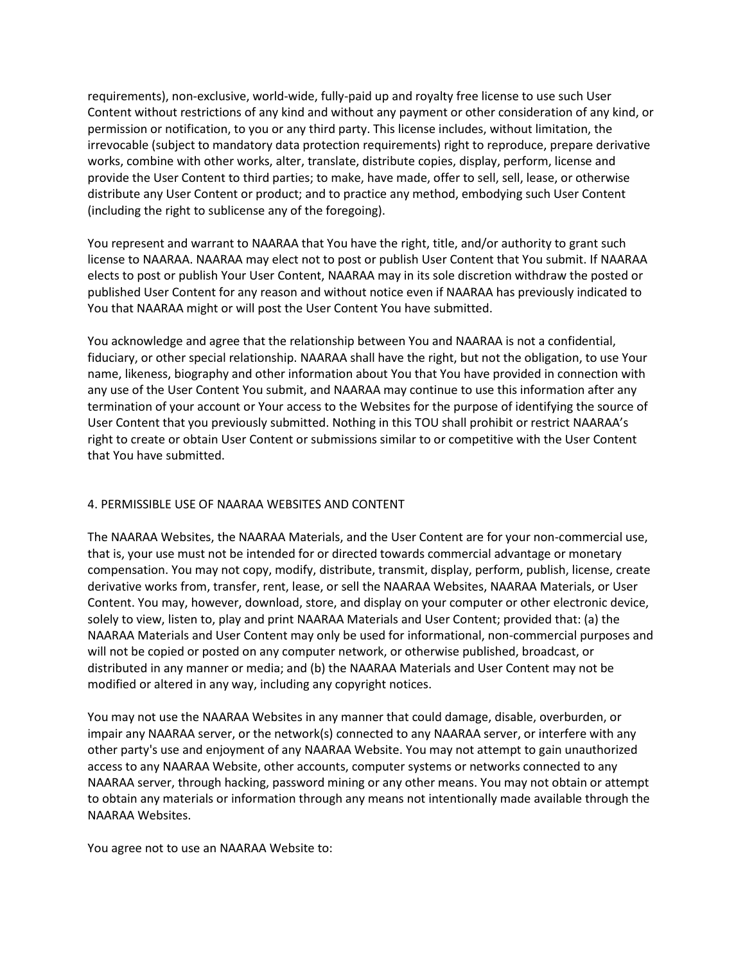requirements), non-exclusive, world-wide, fully-paid up and royalty free license to use such User Content without restrictions of any kind and without any payment or other consideration of any kind, or permission or notification, to you or any third party. This license includes, without limitation, the irrevocable (subject to mandatory data protection requirements) right to reproduce, prepare derivative works, combine with other works, alter, translate, distribute copies, display, perform, license and provide the User Content to third parties; to make, have made, offer to sell, sell, lease, or otherwise distribute any User Content or product; and to practice any method, embodying such User Content (including the right to sublicense any of the foregoing).

You represent and warrant to NAARAA that You have the right, title, and/or authority to grant such license to NAARAA. NAARAA may elect not to post or publish User Content that You submit. If NAARAA elects to post or publish Your User Content, NAARAA may in its sole discretion withdraw the posted or published User Content for any reason and without notice even if NAARAA has previously indicated to You that NAARAA might or will post the User Content You have submitted.

You acknowledge and agree that the relationship between You and NAARAA is not a confidential, fiduciary, or other special relationship. NAARAA shall have the right, but not the obligation, to use Your name, likeness, biography and other information about You that You have provided in connection with any use of the User Content You submit, and NAARAA may continue to use this information after any termination of your account or Your access to the Websites for the purpose of identifying the source of User Content that you previously submitted. Nothing in this TOU shall prohibit or restrict NAARAA's right to create or obtain User Content or submissions similar to or competitive with the User Content that You have submitted.

# 4. PERMISSIBLE USE OF NAARAA WEBSITES AND CONTENT

The NAARAA Websites, the NAARAA Materials, and the User Content are for your non-commercial use, that is, your use must not be intended for or directed towards commercial advantage or monetary compensation. You may not copy, modify, distribute, transmit, display, perform, publish, license, create derivative works from, transfer, rent, lease, or sell the NAARAA Websites, NAARAA Materials, or User Content. You may, however, download, store, and display on your computer or other electronic device, solely to view, listen to, play and print NAARAA Materials and User Content; provided that: (a) the NAARAA Materials and User Content may only be used for informational, non-commercial purposes and will not be copied or posted on any computer network, or otherwise published, broadcast, or distributed in any manner or media; and (b) the NAARAA Materials and User Content may not be modified or altered in any way, including any copyright notices.

You may not use the NAARAA Websites in any manner that could damage, disable, overburden, or impair any NAARAA server, or the network(s) connected to any NAARAA server, or interfere with any other party's use and enjoyment of any NAARAA Website. You may not attempt to gain unauthorized access to any NAARAA Website, other accounts, computer systems or networks connected to any NAARAA server, through hacking, password mining or any other means. You may not obtain or attempt to obtain any materials or information through any means not intentionally made available through the NAARAA Websites.

You agree not to use an NAARAA Website to: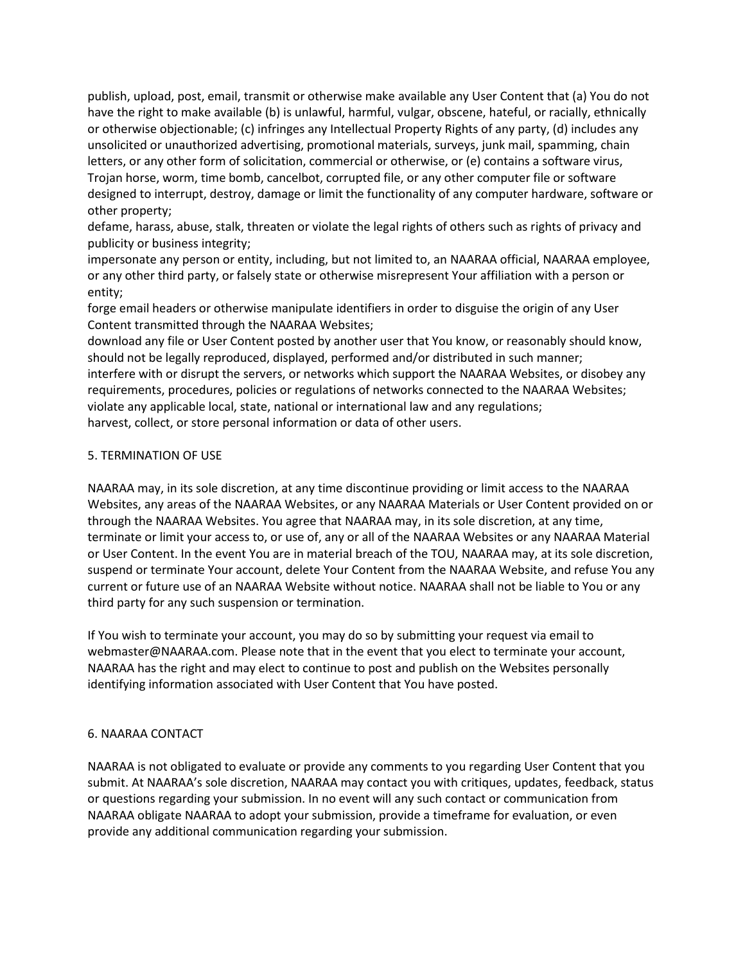publish, upload, post, email, transmit or otherwise make available any User Content that (a) You do not have the right to make available (b) is unlawful, harmful, vulgar, obscene, hateful, or racially, ethnically or otherwise objectionable; (c) infringes any Intellectual Property Rights of any party, (d) includes any unsolicited or unauthorized advertising, promotional materials, surveys, junk mail, spamming, chain letters, or any other form of solicitation, commercial or otherwise, or (e) contains a software virus, Trojan horse, worm, time bomb, cancelbot, corrupted file, or any other computer file or software designed to interrupt, destroy, damage or limit the functionality of any computer hardware, software or other property;

defame, harass, abuse, stalk, threaten or violate the legal rights of others such as rights of privacy and publicity or business integrity;

impersonate any person or entity, including, but not limited to, an NAARAA official, NAARAA employee, or any other third party, or falsely state or otherwise misrepresent Your affiliation with a person or entity;

forge email headers or otherwise manipulate identifiers in order to disguise the origin of any User Content transmitted through the NAARAA Websites;

download any file or User Content posted by another user that You know, or reasonably should know, should not be legally reproduced, displayed, performed and/or distributed in such manner; interfere with or disrupt the servers, or networks which support the NAARAA Websites, or disobey any requirements, procedures, policies or regulations of networks connected to the NAARAA Websites; violate any applicable local, state, national or international law and any regulations; harvest, collect, or store personal information or data of other users.

# 5. TERMINATION OF USE

NAARAA may, in its sole discretion, at any time discontinue providing or limit access to the NAARAA Websites, any areas of the NAARAA Websites, or any NAARAA Materials or User Content provided on or through the NAARAA Websites. You agree that NAARAA may, in its sole discretion, at any time, terminate or limit your access to, or use of, any or all of the NAARAA Websites or any NAARAA Material or User Content. In the event You are in material breach of the TOU, NAARAA may, at its sole discretion, suspend or terminate Your account, delete Your Content from the NAARAA Website, and refuse You any current or future use of an NAARAA Website without notice. NAARAA shall not be liable to You or any third party for any such suspension or termination.

If You wish to terminate your account, you may do so by submitting your request via email to webmaster@NAARAA.com. Please note that in the event that you elect to terminate your account, NAARAA has the right and may elect to continue to post and publish on the Websites personally identifying information associated with User Content that You have posted.

# 6. NAARAA CONTACT

NAARAA is not obligated to evaluate or provide any comments to you regarding User Content that you submit. At NAARAA's sole discretion, NAARAA may contact you with critiques, updates, feedback, status or questions regarding your submission. In no event will any such contact or communication from NAARAA obligate NAARAA to adopt your submission, provide a timeframe for evaluation, or even provide any additional communication regarding your submission.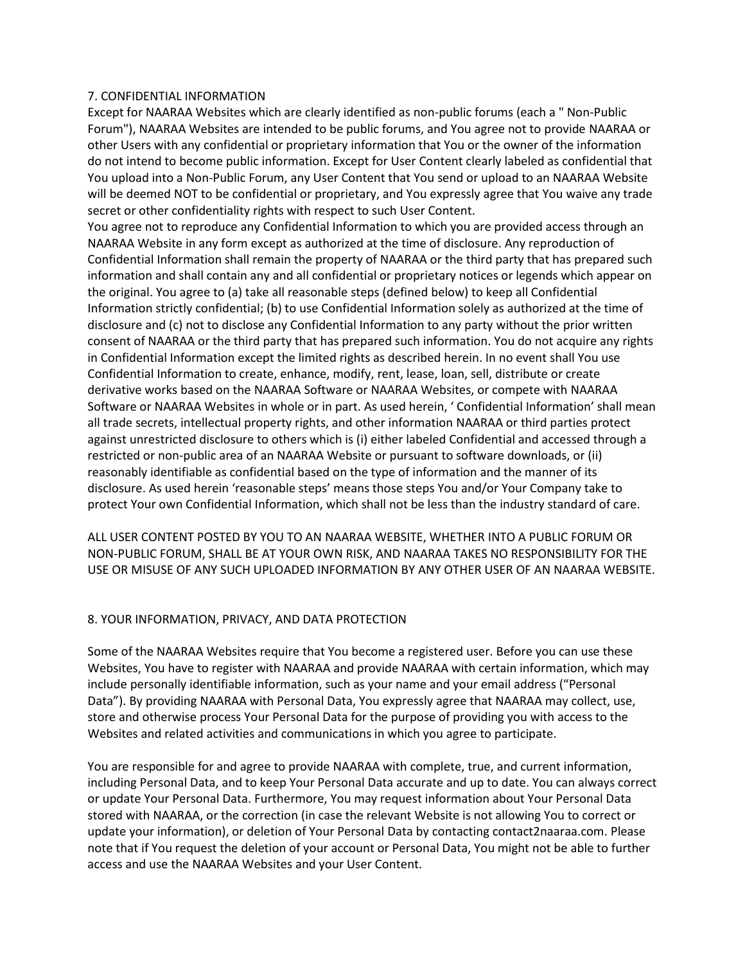#### 7. CONFIDENTIAL INFORMATION

Except for NAARAA Websites which are clearly identified as non-public forums (each a " Non-Public Forum"), NAARAA Websites are intended to be public forums, and You agree not to provide NAARAA or other Users with any confidential or proprietary information that You or the owner of the information do not intend to become public information. Except for User Content clearly labeled as confidential that You upload into a Non-Public Forum, any User Content that You send or upload to an NAARAA Website will be deemed NOT to be confidential or proprietary, and You expressly agree that You waive any trade secret or other confidentiality rights with respect to such User Content.

You agree not to reproduce any Confidential Information to which you are provided access through an NAARAA Website in any form except as authorized at the time of disclosure. Any reproduction of Confidential Information shall remain the property of NAARAA or the third party that has prepared such information and shall contain any and all confidential or proprietary notices or legends which appear on the original. You agree to (a) take all reasonable steps (defined below) to keep all Confidential Information strictly confidential; (b) to use Confidential Information solely as authorized at the time of disclosure and (c) not to disclose any Confidential Information to any party without the prior written consent of NAARAA or the third party that has prepared such information. You do not acquire any rights in Confidential Information except the limited rights as described herein. In no event shall You use Confidential Information to create, enhance, modify, rent, lease, loan, sell, distribute or create derivative works based on the NAARAA Software or NAARAA Websites, or compete with NAARAA Software or NAARAA Websites in whole or in part. As used herein, ' Confidential Information' shall mean all trade secrets, intellectual property rights, and other information NAARAA or third parties protect against unrestricted disclosure to others which is (i) either labeled Confidential and accessed through a restricted or non-public area of an NAARAA Website or pursuant to software downloads, or (ii) reasonably identifiable as confidential based on the type of information and the manner of its disclosure. As used herein 'reasonable steps' means those steps You and/or Your Company take to protect Your own Confidential Information, which shall not be less than the industry standard of care.

ALL USER CONTENT POSTED BY YOU TO AN NAARAA WEBSITE, WHETHER INTO A PUBLIC FORUM OR NON-PUBLIC FORUM, SHALL BE AT YOUR OWN RISK, AND NAARAA TAKES NO RESPONSIBILITY FOR THE USE OR MISUSE OF ANY SUCH UPLOADED INFORMATION BY ANY OTHER USER OF AN NAARAA WEBSITE.

#### 8. YOUR INFORMATION, PRIVACY, AND DATA PROTECTION

Some of the NAARAA Websites require that You become a registered user. Before you can use these Websites, You have to register with NAARAA and provide NAARAA with certain information, which may include personally identifiable information, such as your name and your email address ("Personal Data"). By providing NAARAA with Personal Data, You expressly agree that NAARAA may collect, use, store and otherwise process Your Personal Data for the purpose of providing you with access to the Websites and related activities and communications in which you agree to participate.

You are responsible for and agree to provide NAARAA with complete, true, and current information, including Personal Data, and to keep Your Personal Data accurate and up to date. You can always correct or update Your Personal Data. Furthermore, You may request information about Your Personal Data stored with NAARAA, or the correction (in case the relevant Website is not allowing You to correct or update your information), or deletion of Your Personal Data by contacting contact2naaraa.com. Please note that if You request the deletion of your account or Personal Data, You might not be able to further access and use the NAARAA Websites and your User Content.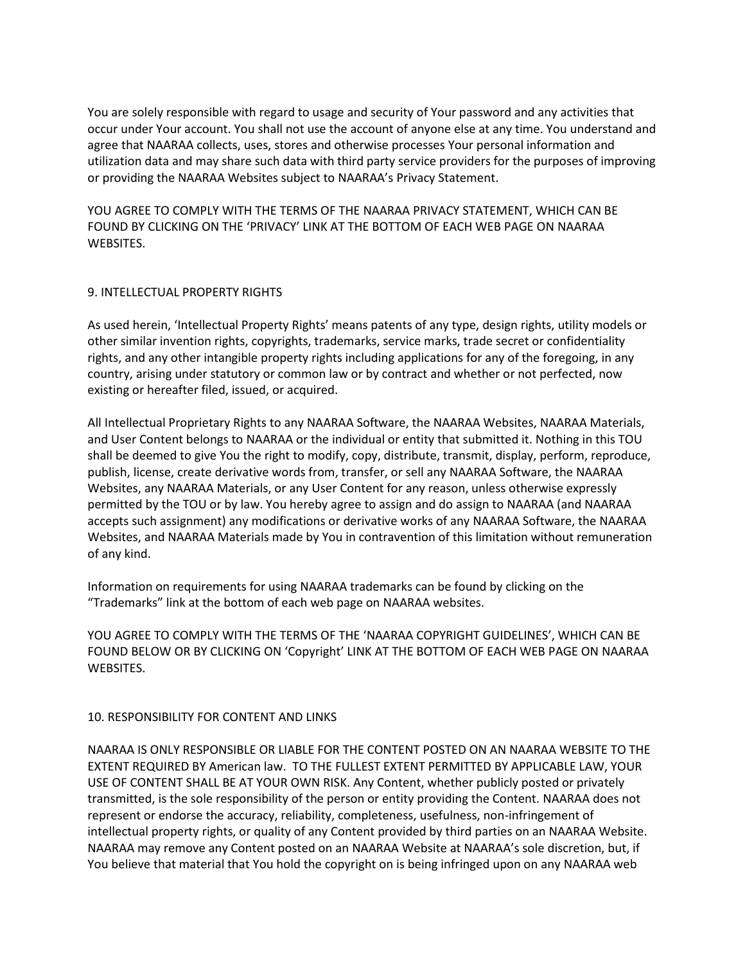You are solely responsible with regard to usage and security of Your password and any activities that occur under Your account. You shall not use the account of anyone else at any time. You understand and agree that NAARAA collects, uses, stores and otherwise processes Your personal information and utilization data and may share such data with third party service providers for the purposes of improving or providing the NAARAA Websites subject to NAARAA's Privacy Statement.

YOU AGREE TO COMPLY WITH THE TERMS OF THE NAARAA PRIVACY STATEMENT, WHICH CAN BE FOUND BY CLICKING ON THE 'PRIVACY' LINK AT THE BOTTOM OF EACH WEB PAGE ON NAARAA WEBSITES.

# 9. INTELLECTUAL PROPERTY RIGHTS

As used herein, 'Intellectual Property Rights' means patents of any type, design rights, utility models or other similar invention rights, copyrights, trademarks, service marks, trade secret or confidentiality rights, and any other intangible property rights including applications for any of the foregoing, in any country, arising under statutory or common law or by contract and whether or not perfected, now existing or hereafter filed, issued, or acquired.

All Intellectual Proprietary Rights to any NAARAA Software, the NAARAA Websites, NAARAA Materials, and User Content belongs to NAARAA or the individual or entity that submitted it. Nothing in this TOU shall be deemed to give You the right to modify, copy, distribute, transmit, display, perform, reproduce, publish, license, create derivative words from, transfer, or sell any NAARAA Software, the NAARAA Websites, any NAARAA Materials, or any User Content for any reason, unless otherwise expressly permitted by the TOU or by law. You hereby agree to assign and do assign to NAARAA (and NAARAA accepts such assignment) any modifications or derivative works of any NAARAA Software, the NAARAA Websites, and NAARAA Materials made by You in contravention of this limitation without remuneration of any kind.

Information on requirements for using NAARAA trademarks can be found by clicking on the "Trademarks" link at the bottom of each web page on NAARAA websites.

YOU AGREE TO COMPLY WITH THE TERMS OF THE 'NAARAA COPYRIGHT GUIDELINES', WHICH CAN BE FOUND BELOW OR BY CLICKING ON 'Copyright' LINK AT THE BOTTOM OF EACH WEB PAGE ON NAARAA WEBSITES.

# 10. RESPONSIBILITY FOR CONTENT AND LINKS

NAARAA IS ONLY RESPONSIBLE OR LIABLE FOR THE CONTENT POSTED ON AN NAARAA WEBSITE TO THE EXTENT REQUIRED BY American law. TO THE FULLEST EXTENT PERMITTED BY APPLICABLE LAW, YOUR USE OF CONTENT SHALL BE AT YOUR OWN RISK. Any Content, whether publicly posted or privately transmitted, is the sole responsibility of the person or entity providing the Content. NAARAA does not represent or endorse the accuracy, reliability, completeness, usefulness, non-infringement of intellectual property rights, or quality of any Content provided by third parties on an NAARAA Website. NAARAA may remove any Content posted on an NAARAA Website at NAARAA's sole discretion, but, if You believe that material that You hold the copyright on is being infringed upon on any NAARAA web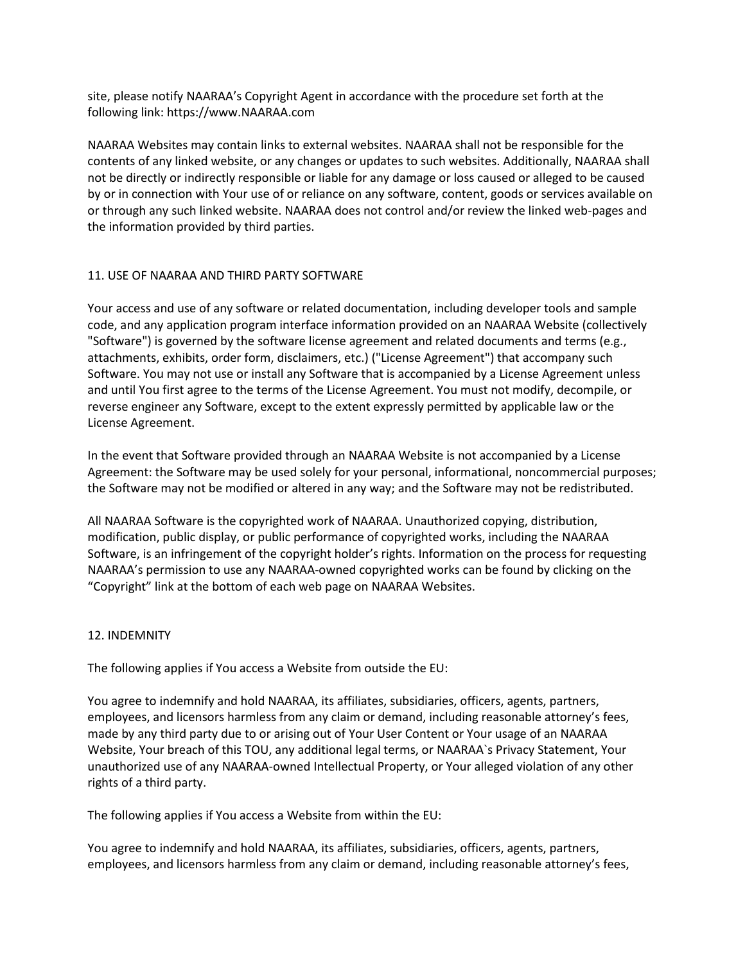site, please notify NAARAA's Copyright Agent in accordance with the procedure set forth at the following link: https://www.NAARAA.com

NAARAA Websites may contain links to external websites. NAARAA shall not be responsible for the contents of any linked website, or any changes or updates to such websites. Additionally, NAARAA shall not be directly or indirectly responsible or liable for any damage or loss caused or alleged to be caused by or in connection with Your use of or reliance on any software, content, goods or services available on or through any such linked website. NAARAA does not control and/or review the linked web-pages and the information provided by third parties.

# 11. USE OF NAARAA AND THIRD PARTY SOFTWARE

Your access and use of any software or related documentation, including developer tools and sample code, and any application program interface information provided on an NAARAA Website (collectively "Software") is governed by the software license agreement and related documents and terms (e.g., attachments, exhibits, order form, disclaimers, etc.) ("License Agreement") that accompany such Software. You may not use or install any Software that is accompanied by a License Agreement unless and until You first agree to the terms of the License Agreement. You must not modify, decompile, or reverse engineer any Software, except to the extent expressly permitted by applicable law or the License Agreement.

In the event that Software provided through an NAARAA Website is not accompanied by a License Agreement: the Software may be used solely for your personal, informational, noncommercial purposes; the Software may not be modified or altered in any way; and the Software may not be redistributed.

All NAARAA Software is the copyrighted work of NAARAA. Unauthorized copying, distribution, modification, public display, or public performance of copyrighted works, including the NAARAA Software, is an infringement of the copyright holder's rights. Information on the process for requesting NAARAA's permission to use any NAARAA-owned copyrighted works can be found by clicking on the "Copyright" link at the bottom of each web page on NAARAA Websites.

# 12. INDEMNITY

The following applies if You access a Website from outside the EU:

You agree to indemnify and hold NAARAA, its affiliates, subsidiaries, officers, agents, partners, employees, and licensors harmless from any claim or demand, including reasonable attorney's fees, made by any third party due to or arising out of Your User Content or Your usage of an NAARAA Website, Your breach of this TOU, any additional legal terms, or NAARAA`s Privacy Statement, Your unauthorized use of any NAARAA-owned Intellectual Property, or Your alleged violation of any other rights of a third party.

The following applies if You access a Website from within the EU:

You agree to indemnify and hold NAARAA, its affiliates, subsidiaries, officers, agents, partners, employees, and licensors harmless from any claim or demand, including reasonable attorney's fees,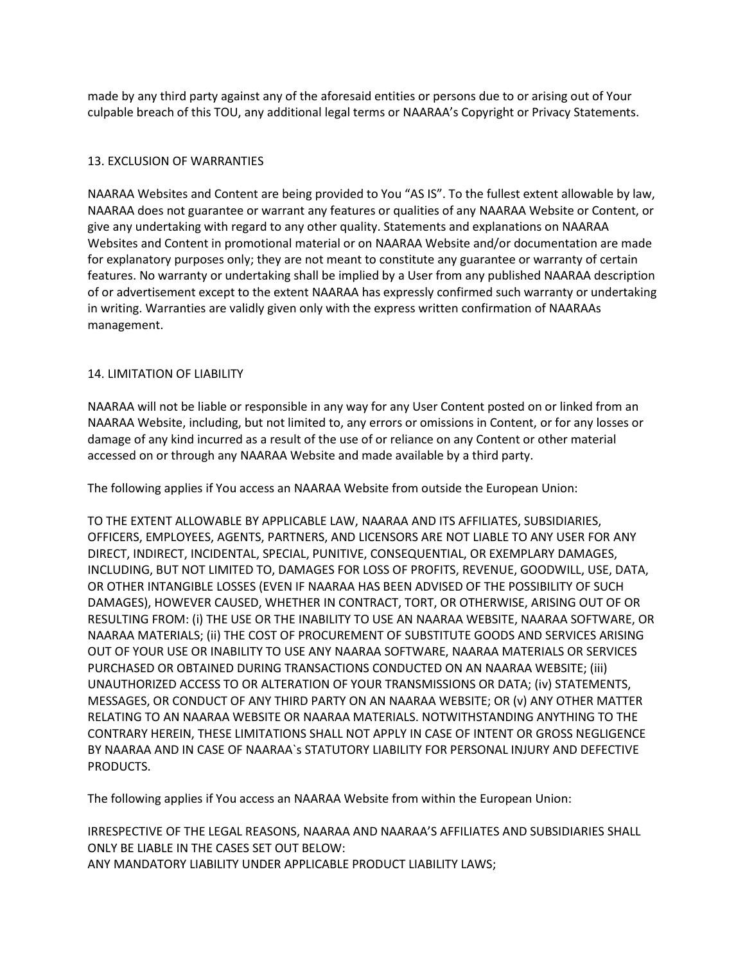made by any third party against any of the aforesaid entities or persons due to or arising out of Your culpable breach of this TOU, any additional legal terms or NAARAA's Copyright or Privacy Statements.

# 13. EXCLUSION OF WARRANTIES

NAARAA Websites and Content are being provided to You "AS IS". To the fullest extent allowable by law, NAARAA does not guarantee or warrant any features or qualities of any NAARAA Website or Content, or give any undertaking with regard to any other quality. Statements and explanations on NAARAA Websites and Content in promotional material or on NAARAA Website and/or documentation are made for explanatory purposes only; they are not meant to constitute any guarantee or warranty of certain features. No warranty or undertaking shall be implied by a User from any published NAARAA description of or advertisement except to the extent NAARAA has expressly confirmed such warranty or undertaking in writing. Warranties are validly given only with the express written confirmation of NAARAAs management.

# 14. LIMITATION OF LIABILITY

NAARAA will not be liable or responsible in any way for any User Content posted on or linked from an NAARAA Website, including, but not limited to, any errors or omissions in Content, or for any losses or damage of any kind incurred as a result of the use of or reliance on any Content or other material accessed on or through any NAARAA Website and made available by a third party.

The following applies if You access an NAARAA Website from outside the European Union:

TO THE EXTENT ALLOWABLE BY APPLICABLE LAW, NAARAA AND ITS AFFILIATES, SUBSIDIARIES, OFFICERS, EMPLOYEES, AGENTS, PARTNERS, AND LICENSORS ARE NOT LIABLE TO ANY USER FOR ANY DIRECT, INDIRECT, INCIDENTAL, SPECIAL, PUNITIVE, CONSEQUENTIAL, OR EXEMPLARY DAMAGES, INCLUDING, BUT NOT LIMITED TO, DAMAGES FOR LOSS OF PROFITS, REVENUE, GOODWILL, USE, DATA, OR OTHER INTANGIBLE LOSSES (EVEN IF NAARAA HAS BEEN ADVISED OF THE POSSIBILITY OF SUCH DAMAGES), HOWEVER CAUSED, WHETHER IN CONTRACT, TORT, OR OTHERWISE, ARISING OUT OF OR RESULTING FROM: (i) THE USE OR THE INABILITY TO USE AN NAARAA WEBSITE, NAARAA SOFTWARE, OR NAARAA MATERIALS; (ii) THE COST OF PROCUREMENT OF SUBSTITUTE GOODS AND SERVICES ARISING OUT OF YOUR USE OR INABILITY TO USE ANY NAARAA SOFTWARE, NAARAA MATERIALS OR SERVICES PURCHASED OR OBTAINED DURING TRANSACTIONS CONDUCTED ON AN NAARAA WEBSITE; (iii) UNAUTHORIZED ACCESS TO OR ALTERATION OF YOUR TRANSMISSIONS OR DATA; (iv) STATEMENTS, MESSAGES, OR CONDUCT OF ANY THIRD PARTY ON AN NAARAA WEBSITE; OR (v) ANY OTHER MATTER RELATING TO AN NAARAA WEBSITE OR NAARAA MATERIALS. NOTWITHSTANDING ANYTHING TO THE CONTRARY HEREIN, THESE LIMITATIONS SHALL NOT APPLY IN CASE OF INTENT OR GROSS NEGLIGENCE BY NAARAA AND IN CASE OF NAARAA`s STATUTORY LIABILITY FOR PERSONAL INJURY AND DEFECTIVE PRODUCTS.

The following applies if You access an NAARAA Website from within the European Union:

IRRESPECTIVE OF THE LEGAL REASONS, NAARAA AND NAARAA'S AFFILIATES AND SUBSIDIARIES SHALL ONLY BE LIABLE IN THE CASES SET OUT BELOW: ANY MANDATORY LIABILITY UNDER APPLICABLE PRODUCT LIABILITY LAWS;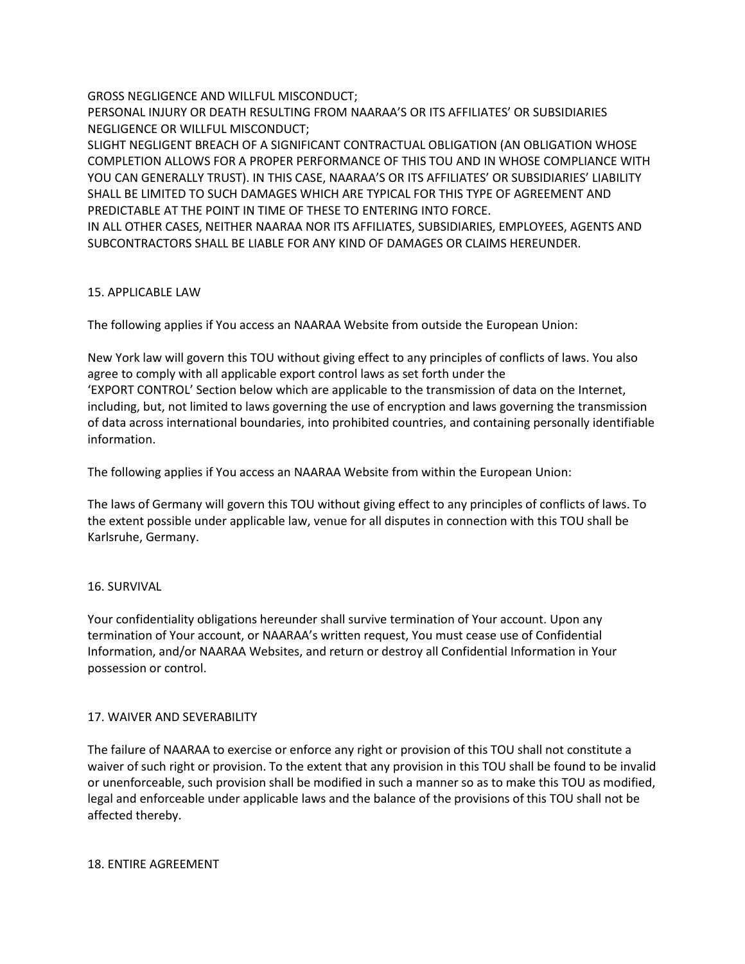GROSS NEGLIGENCE AND WILLFUL MISCONDUCT;

PERSONAL INJURY OR DEATH RESULTING FROM NAARAA'S OR ITS AFFILIATES' OR SUBSIDIARIES NEGLIGENCE OR WILLFUL MISCONDUCT;

SLIGHT NEGLIGENT BREACH OF A SIGNIFICANT CONTRACTUAL OBLIGATION (AN OBLIGATION WHOSE COMPLETION ALLOWS FOR A PROPER PERFORMANCE OF THIS TOU AND IN WHOSE COMPLIANCE WITH YOU CAN GENERALLY TRUST). IN THIS CASE, NAARAA'S OR ITS AFFILIATES' OR SUBSIDIARIES' LIABILITY SHALL BE LIMITED TO SUCH DAMAGES WHICH ARE TYPICAL FOR THIS TYPE OF AGREEMENT AND PREDICTABLE AT THE POINT IN TIME OF THESE TO ENTERING INTO FORCE.

IN ALL OTHER CASES, NEITHER NAARAA NOR ITS AFFILIATES, SUBSIDIARIES, EMPLOYEES, AGENTS AND SUBCONTRACTORS SHALL BE LIABLE FOR ANY KIND OF DAMAGES OR CLAIMS HEREUNDER.

# 15. APPLICABLE LAW

The following applies if You access an NAARAA Website from outside the European Union:

New York law will govern this TOU without giving effect to any principles of conflicts of laws. You also agree to comply with all applicable export control laws as set forth under the 'EXPORT CONTROL' Section below which are applicable to the transmission of data on the Internet, including, but, not limited to laws governing the use of encryption and laws governing the transmission of data across international boundaries, into prohibited countries, and containing personally identifiable information.

The following applies if You access an NAARAA Website from within the European Union:

The laws of Germany will govern this TOU without giving effect to any principles of conflicts of laws. To the extent possible under applicable law, venue for all disputes in connection with this TOU shall be Karlsruhe, Germany.

# 16. SURVIVAL

Your confidentiality obligations hereunder shall survive termination of Your account. Upon any termination of Your account, or NAARAA's written request, You must cease use of Confidential Information, and/or NAARAA Websites, and return or destroy all Confidential Information in Your possession or control.

# 17. WAIVER AND SEVERABILITY

The failure of NAARAA to exercise or enforce any right or provision of this TOU shall not constitute a waiver of such right or provision. To the extent that any provision in this TOU shall be found to be invalid or unenforceable, such provision shall be modified in such a manner so as to make this TOU as modified, legal and enforceable under applicable laws and the balance of the provisions of this TOU shall not be affected thereby.

# 18. ENTIRE AGREEMENT